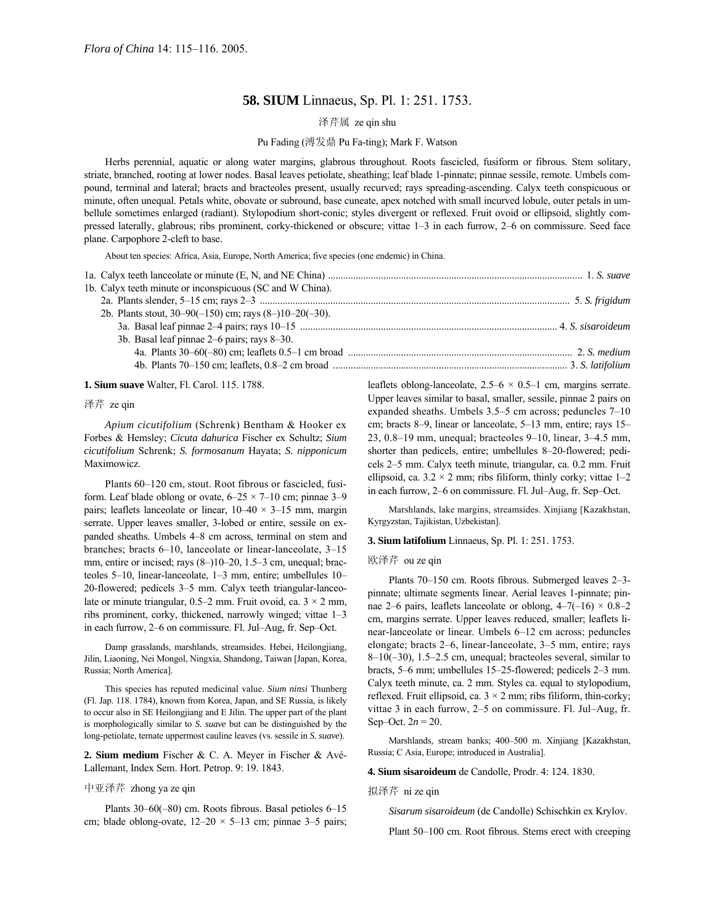## **58. SIUM** Linnaeus, Sp. Pl. 1: 251. 1753.

# 泽芹属 ze qin shu

### Pu Fading (溥发鼎 Pu Fa-ting); Mark F. Watson

Herbs perennial, aquatic or along water margins, glabrous throughout. Roots fascicled, fusiform or fibrous. Stem solitary, striate, branched, rooting at lower nodes. Basal leaves petiolate, sheathing; leaf blade 1-pinnate; pinnae sessile, remote. Umbels compound, terminal and lateral; bracts and bracteoles present, usually recurved; rays spreading-ascending. Calyx teeth conspicuous or minute, often unequal. Petals white, obovate or subround, base cuneate, apex notched with small incurved lobule, outer petals in umbellule sometimes enlarged (radiant). Stylopodium short-conic; styles divergent or reflexed. Fruit ovoid or ellipsoid, slightly compressed laterally, glabrous; ribs prominent, corky-thickened or obscure; vittae 1–3 in each furrow, 2–6 on commissure. Seed face plane. Carpophore 2-cleft to base.

About ten species: Africa, Asia, Europe, North America; five species (one endemic) in China.

| 1b. Calyx teeth minute or inconspicuous (SC and W China).    |
|--------------------------------------------------------------|
|                                                              |
| 2b. Plants stout, $30-90(-150)$ cm; rays $(8-110-20(-30))$ . |
|                                                              |
| 3b. Basal leaf pinnae 2–6 pairs; rays 8–30.                  |
|                                                              |
|                                                              |

**1. Sium suave** Walter, Fl. Carol. 115. 1788.

泽芹 ze qin

*Apium cicutifolium* (Schrenk) Bentham & Hooker ex Forbes & Hemsley; *Cicuta dahurica* Fischer ex Schultz; *Sium cicutifolium* Schrenk; *S. formosanum* Hayata; *S. nipponicum* Maximowicz.

Plants 60–120 cm, stout. Root fibrous or fascicled, fusiform. Leaf blade oblong or ovate,  $6-25 \times 7-10$  cm; pinnae 3-9 pairs; leaflets lanceolate or linear,  $10-40 \times 3-15$  mm, margin serrate. Upper leaves smaller, 3-lobed or entire, sessile on expanded sheaths. Umbels 4–8 cm across, terminal on stem and branches; bracts  $6-10$ , lanceolate or linear-lanceolate,  $3-15$ mm, entire or incised; rays  $(8–)10–20, 1.5–3$  cm, unequal; bracteoles 5–10, linear-lanceolate, 1–3 mm, entire; umbellules 10– 20-flowered; pedicels 3–5 mm. Calyx teeth triangular-lanceolate or minute triangular, 0.5<sup> $-$ </sup> mm. Fruit ovoid, ca. 3  $\times$  2 mm, ribs prominent, corky, thickened, narrowly winged; vittae  $1-3$ in each furrow, 2–6 on commissure. Fl. Jul–Aug, fr. Sep–Oct.

Damp grasslands, marshlands, streamsides. Hebei, Heilongjiang, Jilin, Liaoning, Nei Mongol, Ningxia, Shandong, Taiwan [Japan, Korea, Russia; North America].

This species has reputed medicinal value. *Sium ninsi* Thunberg (Fl. Jap. 118. 1784), known from Korea, Japan, and SE Russia, is likely to occur also in SE Heilongjiang and E Jilin. The upper part of the plant is morphologically similar to *S. suave* but can be distinguished by the long-petiolate, ternate uppermost cauline leaves (vs. sessile in *S. suave*).

**2. Sium medium** Fischer & C. A. Meyer in Fischer & AvÈ-Lallemant, Index Sem. Hort. Petrop. 9: 19. 1843.

## 中亚泽芹 zhong ya ze qin

Plants  $30-60(-80)$  cm. Roots fibrous. Basal petioles  $6-15$ cm; blade oblong-ovate,  $12-20 \times 5-13$  cm; pinnae 3-5 pairs; leaflets oblong-lanceolate,  $2.5-6 \times 0.5-1$  cm, margins serrate. Upper leaves similar to basal, smaller, sessile, pinnae 2 pairs on expanded sheaths. Umbels  $3.5-5$  cm across; peduncles  $7-10$ cm; bracts 8–9, linear or lanceolate, 5–13 mm, entire; rays 15– 23,  $0.8-19$  mm, unequal; bracteoles  $9-10$ , linear,  $3-4.5$  mm, shorter than pedicels, entire; umbellules 8–20-flowered; pedicels 2–5 mm. Calyx teeth minute, triangular, ca. 0.2 mm. Fruit ellipsoid, ca.  $3.2 \times 2$  mm; ribs filiform, thinly corky; vittae 1–2 in each furrow, 2–6 on commissure. Fl. Jul–Aug, fr. Sep–Oct.

Marshlands, lake margins, streamsides. Xinjiang [Kazakhstan, Kyrgyzstan, Tajikistan, Uzbekistan].

**3. Sium latifolium** Linnaeus, Sp. Pl. 1: 251. 1753.

#### 欧泽芹 ou ze qin

Plants 70–150 cm. Roots fibrous. Submerged leaves 2–3pinnate; ultimate segments linear. Aerial leaves 1-pinnate; pinnae 2–6 pairs, leaflets lanceolate or oblong,  $4-7(-16) \times 0.8-2$ cm, margins serrate. Upper leaves reduced, smaller; leaflets linear-lanceolate or linear. Umbels 6–12 cm across; peduncles elongate; bracts  $2-6$ , linear-lanceolate,  $3-5$  mm, entire; rays  $8-10(-30)$ , 1.5 $-2.5$  cm, unequal; bracteoles several, similar to bracts, 5–6 mm; umbellules 15–25-flowered; pedicels 2–3 mm. Calyx teeth minute, ca. 2 mm. Styles ca. equal to stylopodium, reflexed. Fruit ellipsoid, ca.  $3 \times 2$  mm; ribs filiform, thin-corky; vittae 3 in each furrow,  $2-5$  on commissure. Fl. Jul–Aug, fr. Sep–Oct.  $2n = 20$ .

Marshlands, stream banks; 400-500 m. Xinjiang [Kazakhstan, Russia; C Asia, Europe; introduced in Australia].

**4. Sium sisaroideum** de Candolle, Prodr. 4: 124. 1830.

#### 拟泽芹 ni ze qin

*Sisarum sisaroideum* (de Candolle) Schischkin ex Krylov.

Plant 50–100 cm. Root fibrous. Stems erect with creeping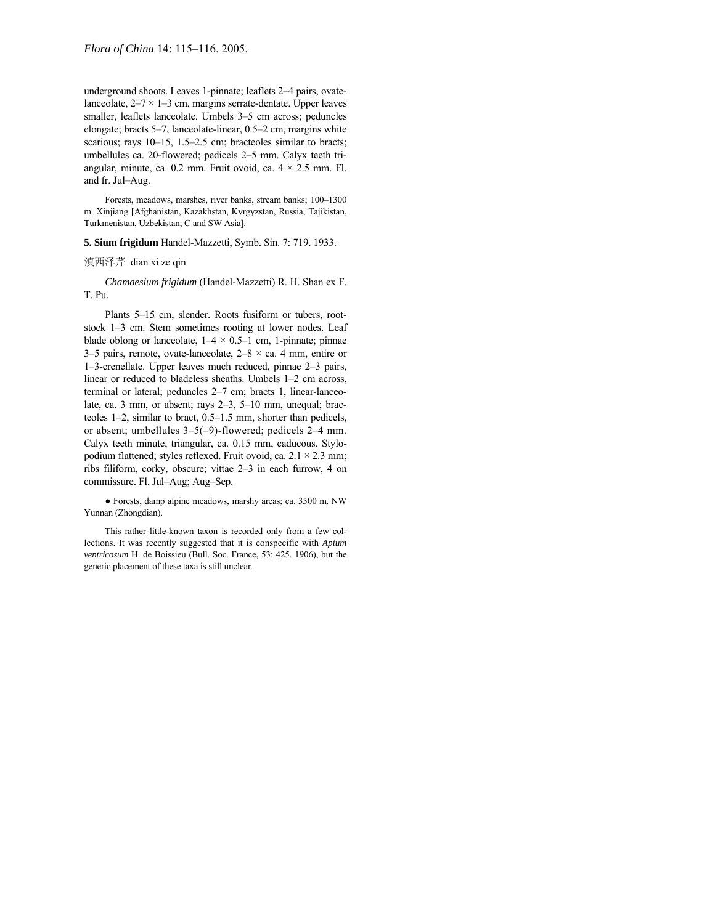underground shoots. Leaves 1-pinnate; leaflets 2-4 pairs, ovatelanceolate,  $2-7 \times 1-3$  cm, margins serrate-dentate. Upper leaves smaller, leaflets lanceolate. Umbels 3-5 cm across; peduncles elongate; bracts  $5-7$ , lanceolate-linear,  $0.5-2$  cm, margins white scarious; rays  $10-15$ , 1.5 $-2.5$  cm; bracteoles similar to bracts; umbellules ca. 20-flowered; pedicels 2-5 mm. Calyx teeth triangular, minute, ca. 0.2 mm. Fruit ovoid, ca.  $4 \times 2.5$  mm. Fl. and fr. Jul-Aug.

Forests, meadows, marshes, river banks, stream banks; 100-1300 m. Xinjiang [Afghanistan, Kazakhstan, Kyrgyzstan, Russia, Tajikistan, Turkmenistan, Uzbekistan; C and SW Asia].

**5. Sium frigidum** Handel-Mazzetti, Symb. Sin. 7: 719. 1933.

### 滇西泽芹 dian xi ze qin

*Chamaesium frigidum* (Handel-Mazzetti) R. H. Shan ex F. T. Pu.

Plants 5-15 cm, slender. Roots fusiform or tubers, rootstock 1–3 cm. Stem sometimes rooting at lower nodes. Leaf blade oblong or lanceolate,  $1-4 \times 0.5-1$  cm, 1-pinnate; pinnae 3–5 pairs, remote, ovate-lanceolate,  $2-8 \times ca$ . 4 mm, entire or  $1-3$ -crenellate. Upper leaves much reduced, pinnae  $2-3$  pairs, linear or reduced to bladeless sheaths. Umbels 1-2 cm across, terminal or lateral; peduncles 2-7 cm; bracts 1, linear-lanceolate, ca. 3 mm, or absent; rays 2-3, 5-10 mm, unequal; bracteoles  $1-2$ , similar to bract,  $0.5-1.5$  mm, shorter than pedicels, or absent; umbellules  $3-5(-9)$ -flowered; pedicels 2-4 mm. Calyx teeth minute, triangular, ca. 0.15 mm, caducous. Stylopodium flattened; styles reflexed. Fruit ovoid, ca.  $2.1 \times 2.3$  mm; ribs filiform, corky, obscure; vittae 2-3 in each furrow, 4 on commissure. Fl. Jul-Aug; Aug-Sep.

● Forests, damp alpine meadows, marshy areas; ca. 3500 m. NW Yunnan (Zhongdian).

This rather little-known taxon is recorded only from a few collections. It was recently suggested that it is conspecific with *Apium ventricosum* H. de Boissieu (Bull. Soc. France, 53: 425. 1906), but the generic placement of these taxa is still unclear.